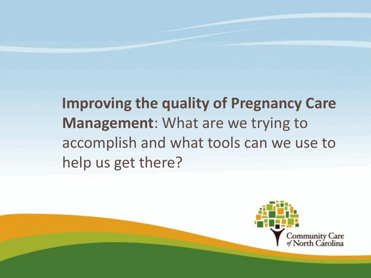**Improving the quality of Pregnancy Care Management**: What are we trying to accomplish and what tools can we use to help us get there?

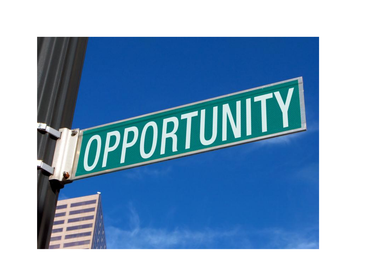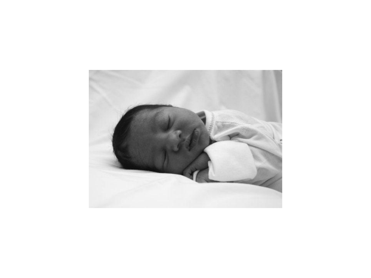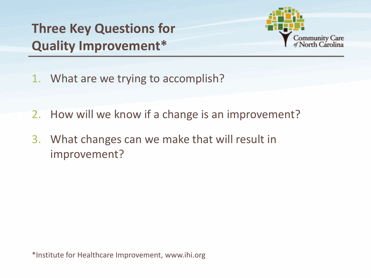### **Three Key Questions for Quality Improvement\***



- 1. What are we trying to accomplish?
- 2. How will we know if a change is an improvement?
- 3. What changes can we make that will result in improvement?

\*Institute for Healthcare Improvement, www.ihi.org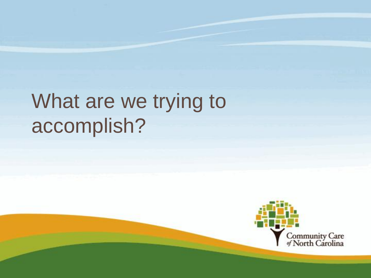# What are we trying to accomplish?

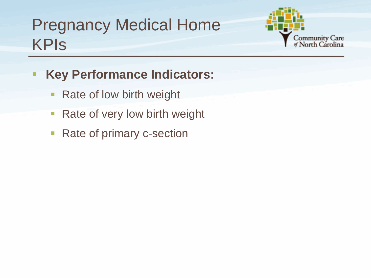# Pregnancy Medical Home KPIs



### **Key Performance Indicators:**

- Rate of low birth weight
- **Rate of very low birth weight**
- Rate of primary c-section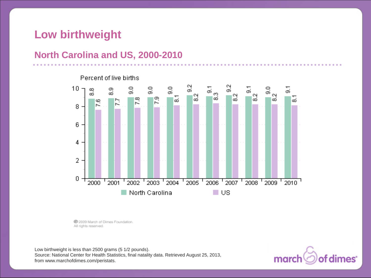### **Low birthweight**

#### **North Carolina and US, 2000-2010**



Low birthweight is less than 2500 grams (5 1/2 pounds). Source: National Center for Health Statistics, final natality data. Retrieved August 25, 2013, from www.marchofdimes.com/peristats.



<sup>2009</sup> March of Dimes Foundation. All rights reserved.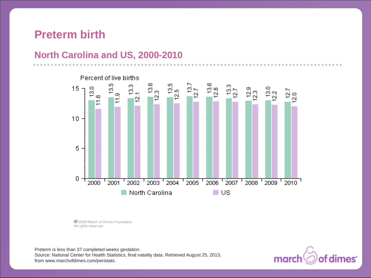#### **Preterm birth**

#### **North Carolina and US, 2000-2010**



Preterm is less than 37 completed weeks gestation.

Source: National Center for Health Statistics, final natality data. Retrieved August 25, 2013, from www.marchofdimes.com/peristats.



<sup>2009</sup> March of Dimes Foundation. All rights reserved.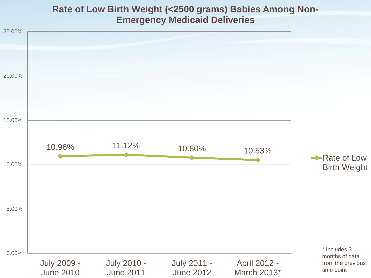#### **Rate of Low Birth Weight (<2500 grams) Babies Among Non-Emergency Medicaid Deliveries**

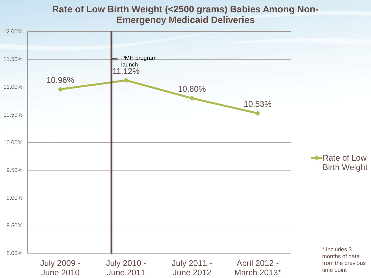#### **Rate of Low Birth Weight (<2500 grams) Babies Among Non-Emergency Medicaid Deliveries**

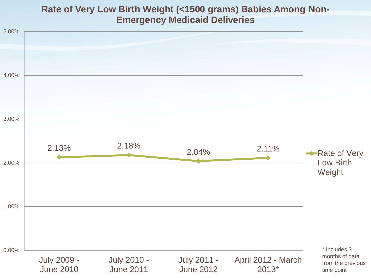#### **Rate of Very Low Birth Weight (<1500 grams) Babies Among Non-Emergency Medicaid Deliveries**

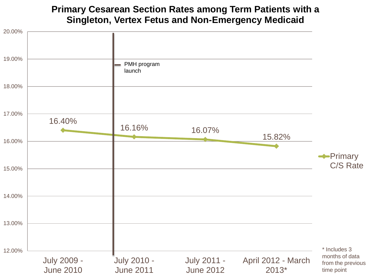#### **Primary Cesarean Section Rates among Term Patients with a Singleton, Vertex Fetus and Non-Emergency Medicaid**

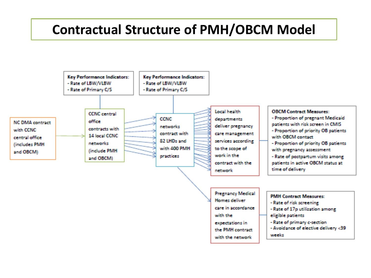### **Contractual Structure of PMH/OBCM Model**

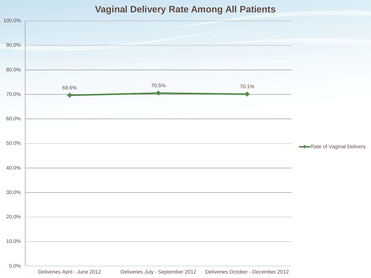**Vaginal Delivery Rate Among All Patients**

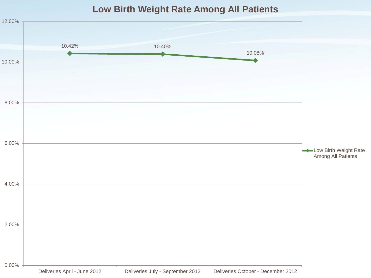**Low Birth Weight Rate Among All Patients**

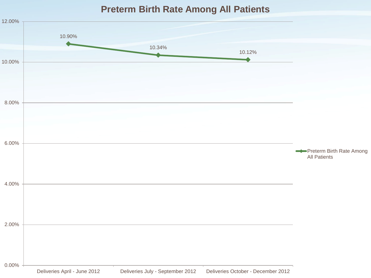**Preterm Birth Rate Among All Patients**

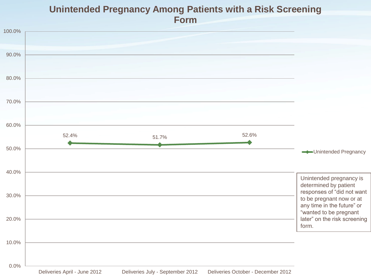#### **Unintended Pregnancy Among Patients with a Risk Screening Form**

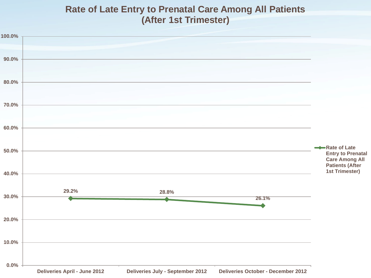#### **Rate of Late Entry to Prenatal Care Among All Patients (After 1st Trimester)**

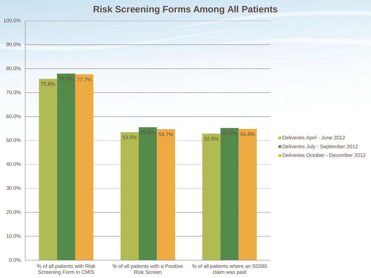**Risk Screening Forms Among All Patients**

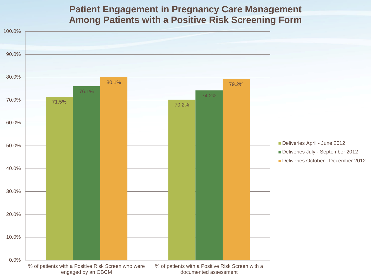#### **Patient Engagement in Pregnancy Care Management Among Patients with a Positive Risk Screening Form**

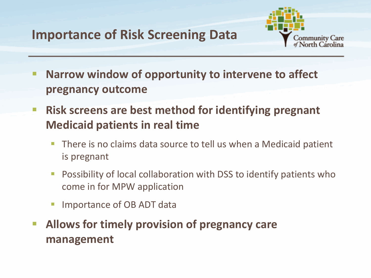

- **Narrow window of opportunity to intervene to affect pregnancy outcome**
- **Risk screens are best method for identifying pregnant Medicaid patients in real time**
	- **There is no claims data source to tell us when a Medicaid patient** is pregnant
	- **P** Possibility of local collaboration with DSS to identify patients who come in for MPW application
	- **Importance of OB ADT data**
- **Allows for timely provision of pregnancy care management**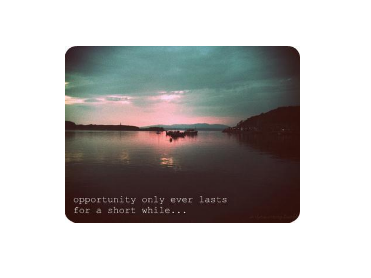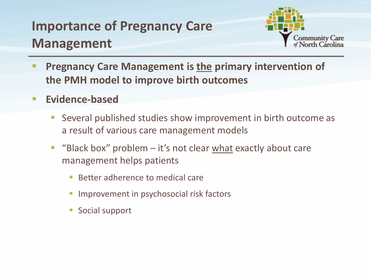### **Importance of Pregnancy Care Management**



- **Pregnancy Care Management is the primary intervention of the PMH model to improve birth outcomes**
- **Evidence-based**
	- Several published studies show improvement in birth outcome as a result of various care management models
	- **Black box**" problem  $-$  it's not clear what exactly about care management helps patients
		- Better adherence to medical care
		- Improvement in psychosocial risk factors
		- Social support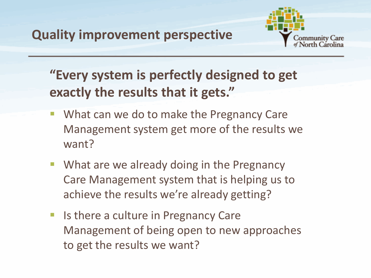

### **"Every system is perfectly designed to get exactly the results that it gets."**

- **What can we do to make the Pregnancy Care** Management system get more of the results we want?
- What are we already doing in the Pregnancy Care Management system that is helping us to achieve the results we're already getting?
- **If** Is there a culture in Pregnancy Care Management of being open to new approaches to get the results we want?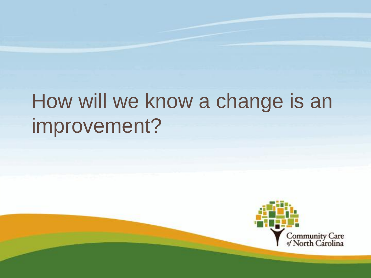# How will we know a change is an improvement?

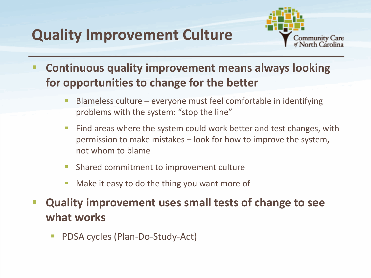### **Quality Improvement Culture**



- **Continuous quality improvement means always looking for opportunities to change for the better**
	- Blameless culture everyone must feel comfortable in identifying problems with the system: "stop the line"
	- **Find areas where the system could work better and test changes, with** permission to make mistakes – look for how to improve the system, not whom to blame
	- **Shared commitment to improvement culture**
	- Make it easy to do the thing you want more of
- **Quality improvement uses small tests of change to see what works**
	- **PDSA cycles (Plan-Do-Study-Act)**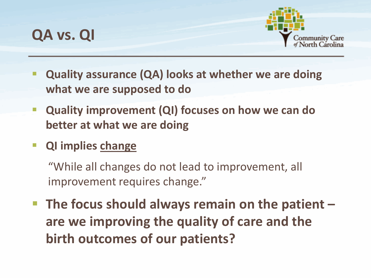



- **Quality assurance (QA) looks at whether we are doing what we are supposed to do**
- **Quality improvement (QI) focuses on how we can do better at what we are doing**
- **QI implies change**

"While all changes do not lead to improvement, all improvement requires change."

**The focus should always remain on the patient – are we improving the quality of care and the birth outcomes of our patients?**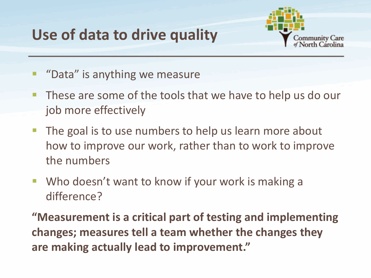### **Use of data to drive quality**



- "Data" is anything we measure
- **These are some of the tools that we have to help us do our** job more effectively
- **The goal is to use numbers to help us learn more about** how to improve our work, rather than to work to improve the numbers
- **Who doesn't want to know if your work is making a** difference?

**"Measurement is a critical part of testing and implementing changes; measures tell a team whether the changes they are making actually lead to improvement."**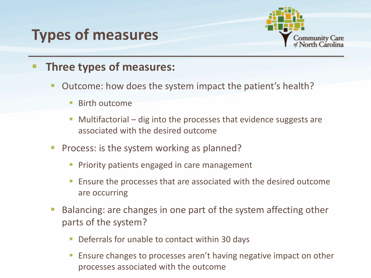### **Types of measures**



### **Three types of measures:**

- Outcome: how does the system impact the patient's health?
	- Birth outcome
	- Multifactorial dig into the processes that evidence suggests are associated with the desired outcome
- **Process:** is the system working as planned?
	- Priority patients engaged in care management
	- Ensure the processes that are associated with the desired outcome are occurring
- Balancing: are changes in one part of the system affecting other parts of the system?
	- Deferrals for unable to contact within 30 days
	- Ensure changes to processes aren't having negative impact on other processes associated with the outcome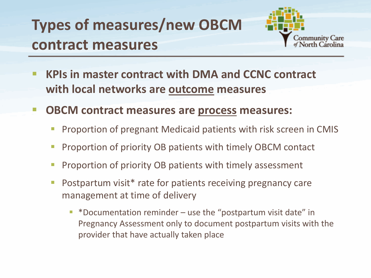## **Types of measures/new OBCM contract measures**



- **KPIs in master contract with DMA and CCNC contract with local networks are outcome measures**
- **OBCM contract measures are process measures:**
	- **Proportion of pregnant Medicaid patients with risk screen in CMIS**
	- **Proportion of priority OB patients with timely OBCM contact**
	- **Proportion of priority OB patients with timely assessment**
	- **Postpartum visit\* rate for patients receiving pregnancy care** management at time of delivery
		- \*Documentation reminder use the "postpartum visit date" in Pregnancy Assessment only to document postpartum visits with the provider that have actually taken place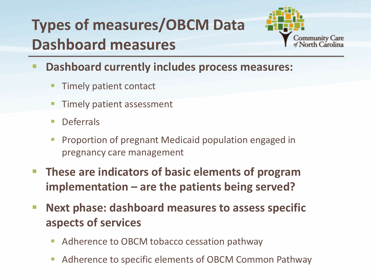## **Types of measures/OBCM Data Dashboard measures**



- **Dashboard currently includes process measures:**
	- **Timely patient contact**
	- **Timely patient assessment**
	- **Deferrals**
	- **Proportion of pregnant Medicaid population engaged in** pregnancy care management
- **These are indicators of basic elements of program implementation – are the patients being served?**
- **Next phase: dashboard measures to assess specific aspects of services**
	- Adherence to OBCM tobacco cessation pathway
	- **Adherence to specific elements of OBCM Common Pathway**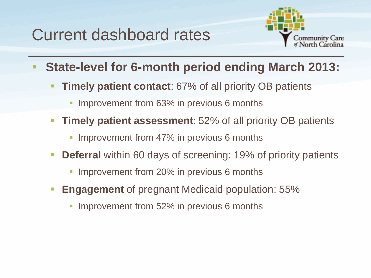## Current dashboard rates



- **State-level for 6-month period ending March 2013:**
	- **Timely patient contact:** 67% of all priority OB patients
		- Improvement from 63% in previous 6 months
	- **Timely patient assessment**: 52% of all priority OB patients
		- Improvement from 47% in previous 6 months
	- **Deferral** within 60 days of screening: 19% of priority patients
		- Improvement from 20% in previous 6 months
	- **Engagement** of pregnant Medicaid population: 55%
		- Improvement from 52% in previous 6 months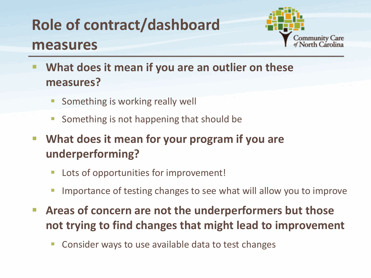# **Role of contract/dashboard measures**



- **What does it mean if you are an outlier on these measures?**
	- **Something is working really well**
	- **Something is not happening that should be**
- **What does it mean for your program if you are underperforming?**
	- **Lots of opportunities for improvement!**
	- **IMPORTANCE OF THE IMAGE CHANGES TO SEE WHAT WILL ALLOW YOU TO IMPTOVE**
- **Areas of concern are not the underperformers but those not trying to find changes that might lead to improvement**
	- Consider ways to use available data to test changes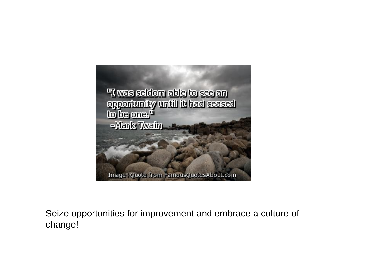

Seize opportunities for improvement and embrace a culture of change!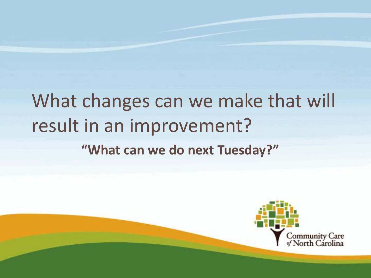# What changes can we make that will result in an improvement? **"What can we do next Tuesday?"**

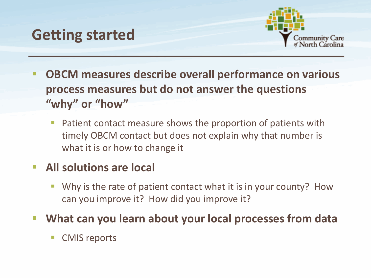



- **OBCM measures describe overall performance on various process measures but do not answer the questions "why" or "how"**
	- **Patient contact measure shows the proportion of patients with** timely OBCM contact but does not explain why that number is what it is or how to change it

### **All solutions are local**

- Why is the rate of patient contact what it is in your county? How can you improve it? How did you improve it?
- **What can you learn about your local processes from data**
	- CMIS reports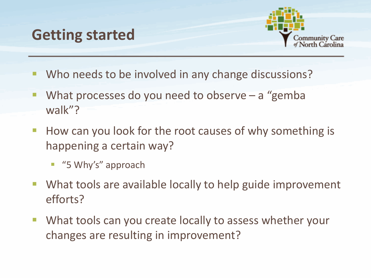### **Getting started**



- Who needs to be involved in any change discussions?
- What processes do you need to observe  $-$  a "gemba walk"?
- How can you look for the root causes of why something is happening a certain way?
	- **"** "5 Why's" approach
- **What tools are available locally to help guide improvement** efforts?
- **What tools can you create locally to assess whether your** changes are resulting in improvement?